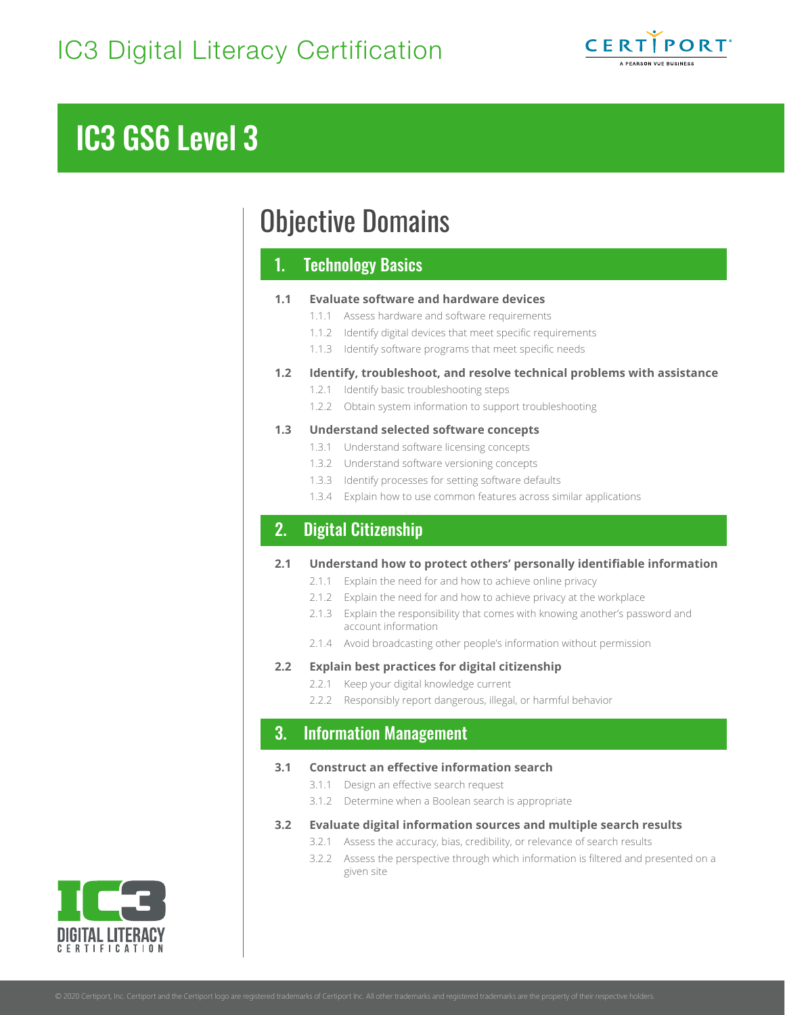

# IC3 GS6 Level 3

# Objective Domains

## 1. Technology Basics

#### **1.1 Evaluate software and hardware devices**

- 1.1.1 Assess hardware and software requirements
- 1.1.2 Identify digital devices that meet specific requirements
- 1.1.3 Identify software programs that meet specific needs

#### **1.2 Identify, troubleshoot, and resolve technical problems with assistance**

- 1.2.1 Identify basic troubleshooting steps
- 1.2.2 Obtain system information to support troubleshooting

#### **1.3 Understand selected software concepts**

- 1.3.1 Understand software licensing concepts
- 1.3.2 Understand software versioning concepts
- 1.3.3 Identify processes for setting software defaults
- 1.3.4 Explain how to use common features across similar applications

## 2. Digital Citizenship

#### **2.1 Understand how to protect others' personally identifiable information**

- 2.1.1 Explain the need for and how to achieve online privacy
- 2.1.2 Explain the need for and how to achieve privacy at the workplace
- 2.1.3 Explain the responsibility that comes with knowing another's password and account information
- 2.1.4 Avoid broadcasting other people's information without permission

#### **2.2 Explain best practices for digital citizenship**

- 2.2.1 Keep your digital knowledge current
- 2.2.2 Responsibly report dangerous, illegal, or harmful behavior

## 3. Information Management

#### **3.1 Construct an effective information search**

- 3.1.1 Design an effective search request
- 3.1.2 Determine when a Boolean search is appropriate

#### **3.2 Evaluate digital information sources and multiple search results**

- 3.2.1 Assess the accuracy, bias, credibility, or relevance of search results
- 3.2.2 Assess the perspective through which information is filtered and presented on a given site

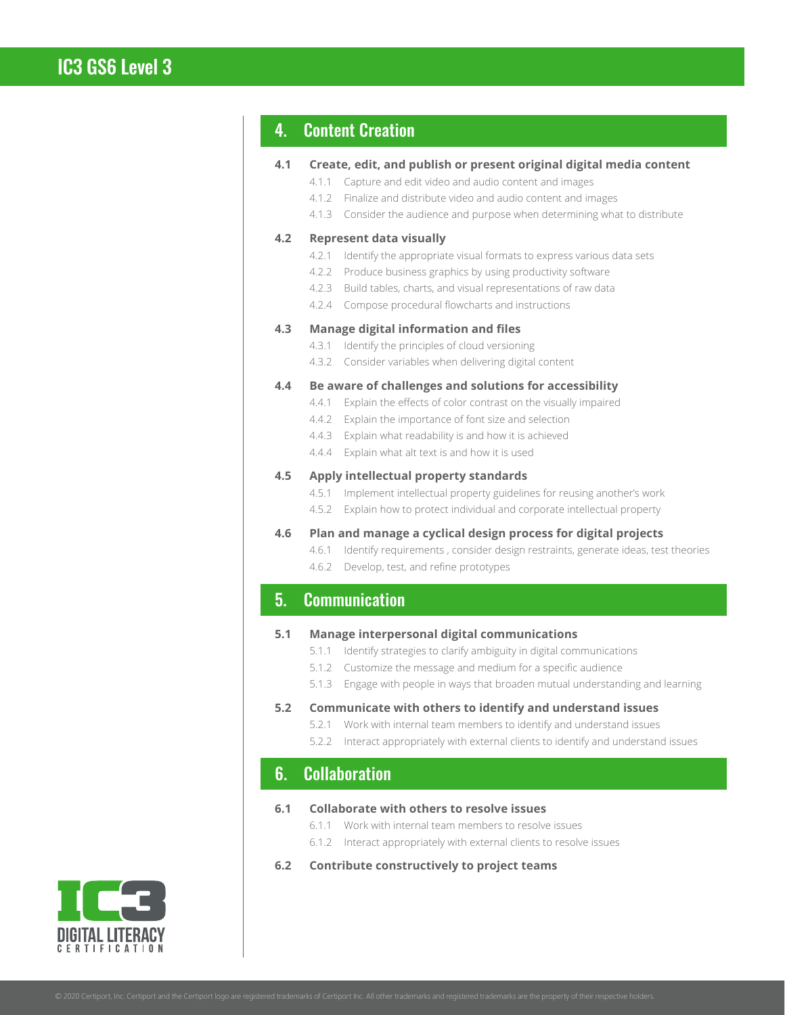## IC3 GS6 Level 3

## 4. Content Creation

| Create, edit, and publish or present original digital media content<br>4.1 |  |
|----------------------------------------------------------------------------|--|
|----------------------------------------------------------------------------|--|

- 4.1.1 Capture and edit video and audio content and images
- 4.1.2 Finalize and distribute video and audio content and images
- 4.1.3 Consider the audience and purpose when determining what to distribute

#### **4.2 Represent data visually**

- 4.2.1 Identify the appropriate visual formats to express various data sets
- 4.2.2 Produce business graphics by using productivity software
- 4.2.3 Build tables, charts, and visual representations of raw data
- 4.2.4 Compose procedural flowcharts and instructions

#### **4.3 Manage digital information and files**

- 4.3.1 Identify the principles of cloud versioning
- 4.3.2 Consider variables when delivering digital content

#### **4.4 Be aware of challenges and solutions for accessibility**

- 4.4.1 Explain the effects of color contrast on the visually impaired
- 4.4.2 Explain the importance of font size and selection
- 4.4.3 Explain what readability is and how it is achieved
- 4.4.4 Explain what alt text is and how it is used

#### **4.5 Apply intellectual property standards**

- 4.5.1 Implement intellectual property guidelines for reusing another's work
- 4.5.2 Explain how to protect individual and corporate intellectual property

#### **4.6 Plan and manage a cyclical design process for digital projects**

- 4.6.1 Identify requirements , consider design restraints, generate ideas, test theories
- 4.6.2 Develop, test, and refine prototypes

## 5. Communication

#### **5.1 Manage interpersonal digital communications**

- 5.1.1 Identify strategies to clarify ambiguity in digital communications
- 5.1.2 Customize the message and medium for a specific audience
- 5.1.3 Engage with people in ways that broaden mutual understanding and learning

#### **5.2 Communicate with others to identify and understand issues**

- 5.2.1 Work with internal team members to identify and understand issues
- 5.2.2 Interact appropriately with external clients to identify and understand issues

### 6. Collaboration

#### **6.1 Collaborate with others to resolve issues**

- 6.1.1 Work with internal team members to resolve issues
- 6.1.2 Interact appropriately with external clients to resolve issues
- **6.2 Contribute constructively to project teams**